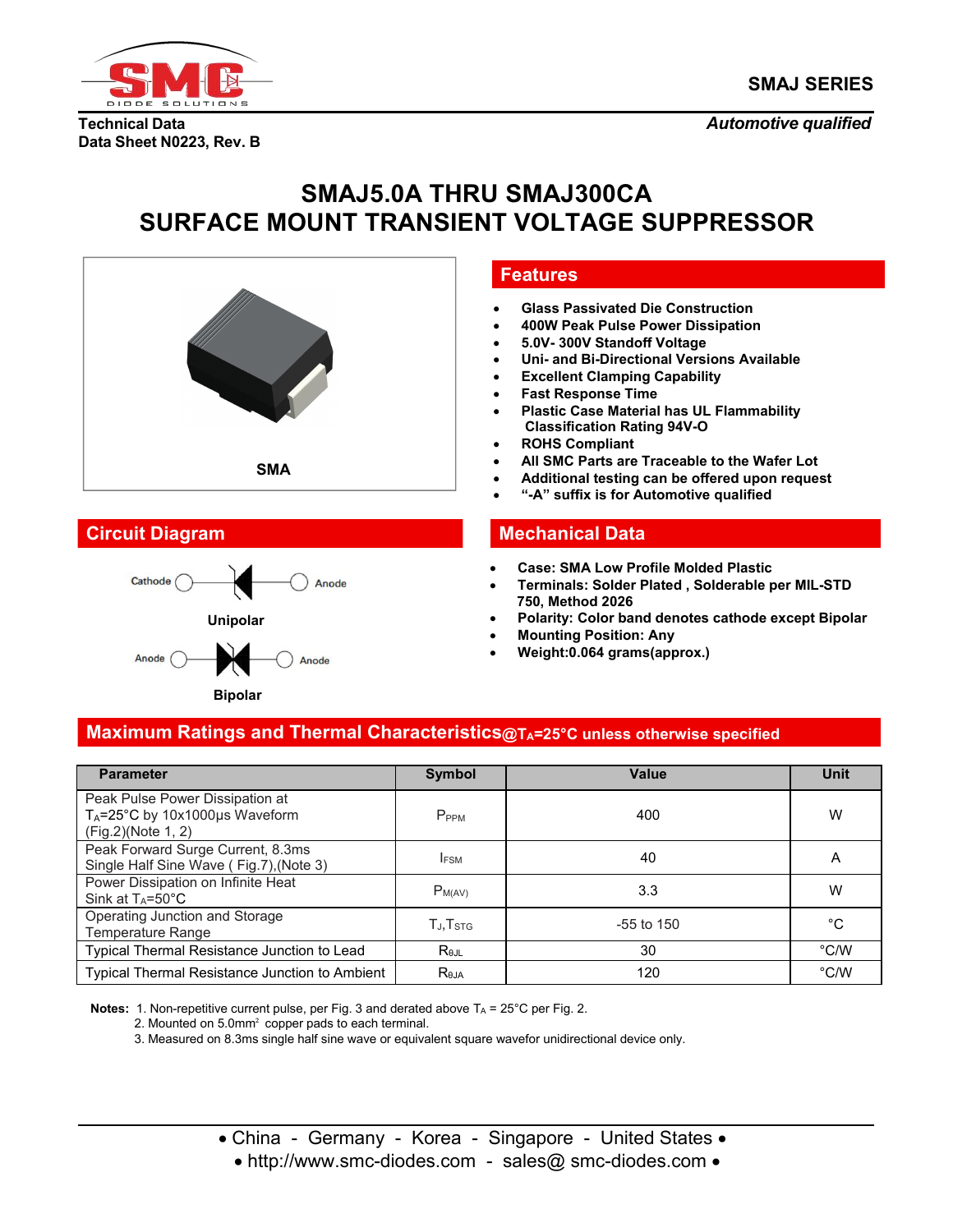

**Technical Data** *Automotive qualified* **Data Sheet N0223, Rev. B**

# **SMAJ5.0A THRU SMAJ300CA SURFACE MOUNT TRANSIENT VOLTAGE SUPPRESSOR**





### **Features**

- **Glass Passivated Die Construction**
- **400W Peak Pulse Power Dissipation**
- **5.0V- 300V Standoff Voltage**
- **Uni- and Bi-Directional Versions Available**
- **Excellent Clamping Capability**
- **Fast Response Time**
- **Plastic Case Material has UL Flammability Classification Rating 94V-O**
- **ROHS Compliant**
- **All SMC Parts are Traceable to the Wafer Lot**
- **Additional testing can be offered upon request**
- **"-A" suffix is for Automotive qualified**

# **Circuit Diagram Mechanical Data**

- **Case: SMA Low Profile Molded Plastic**
- **Terminals: Solder Plated , Solderable per MIL-STD 750, Method 2026**
- **Polarity: Color band denotes cathode except Bipolar**
- **Mounting Position: Any**
- **Weight:0.064 grams(approx.)**

# **Maximum Ratings and Thermal Characteristics@TA=25°C unless otherwise specified**

| <b>Parameter</b>                                                                                    | Symbol                                                       | Value        | Unit          |
|-----------------------------------------------------------------------------------------------------|--------------------------------------------------------------|--------------|---------------|
| Peak Pulse Power Dissipation at<br>T <sub>A</sub> =25°C by 10x1000µs Waveform<br>(Fig.2)(Note 1, 2) | P <sub>PPM</sub>                                             | 400          | W             |
| Peak Forward Surge Current, 8.3ms<br>Single Half Sine Wave (Fig.7), (Note 3)                        | <b>IFSM</b>                                                  | 40           | Α             |
| Power Dissipation on Infinite Heat<br>Sink at $T_A = 50^{\circ}$ C                                  | $P_{M(AV)}$                                                  | 3.3          | W             |
| Operating Junction and Storage<br>Temperature Range                                                 | $\mathsf{T}_{\mathsf{J}}\mathsf{,}\mathsf{T}_{\mathsf{STG}}$ | $-55$ to 150 | °C            |
| Typical Thermal Resistance Junction to Lead                                                         | $R_{\theta$ JL                                               | 30           | $\degree$ C/W |
| <b>Typical Thermal Resistance Junction to Ambient</b>                                               | $R_{\theta$ JA                                               | 120          | $\degree$ C/W |

**Notes:** 1. Non-repetitive current pulse, per Fig. 3 and derated above  $T_A = 25^\circ C$  per Fig. 2.

2. Mounted on 5.0mm² copper pads to each terminal.

3. Measured on 8.3ms single half sine wave or equivalent square wavefor unidirectional device only.

• China - Germany - Korea - Singapore - United States •

• http://www.smc-diodes.com - sales@ smc-diodes.com •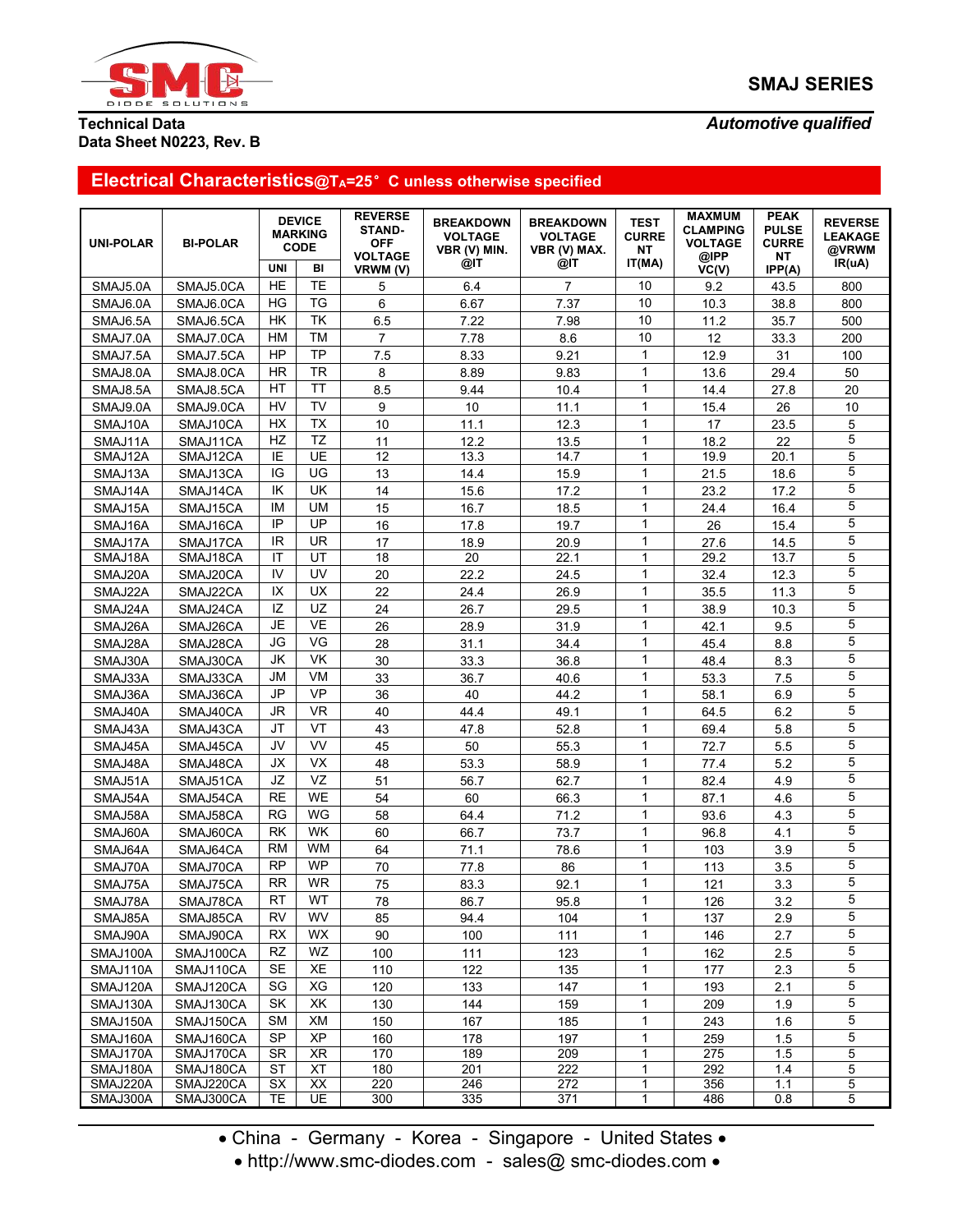

# **SMAJ SERIES**

## **Technical Data** *Automotive qualified* **Data Sheet N0223, Rev. B**

# **Electrical Characteristics@TA=25**°**C unless otherwise specified**

| IT(MA)<br>IR(uA)<br>@IT<br>@IT<br>UNI<br>BI<br>VRWM (V)<br>VC(V)<br>IPP(A)<br><b>HE</b><br><b>TE</b><br>10<br>$\overline{7}$<br>SMAJ5.0A<br>SMAJ5.0CA<br>5<br>6.4<br>9.2<br>800<br>43.5<br>HG<br><b>TG</b><br>6<br>10<br>7.37<br>SMAJ6.0A<br>SMAJ6.0CA<br>6.67<br>10.3<br>38.8<br>800<br>TK<br>10<br>6.5<br>HK<br>7.22<br>7.98<br>11.2<br>35.7<br>500<br>SMAJ6.5A<br>SMAJ6.5CA<br><b>HM</b><br><b>TM</b><br>10<br>$\overline{7}$<br>7.78<br>8.6<br>SMAJ7.0A<br>SMAJ7.0CA<br>12<br>33.3<br>200<br><b>HP</b><br><b>TP</b><br>$\mathbf{1}$<br>7.5<br>9.21<br>SMAJ7.5A<br>SMAJ7.5CA<br>8.33<br>12.9<br>31<br>100<br><b>TR</b><br>$\mathbf{1}$<br>HR<br>SMAJ8.0A<br>SMAJ8.0CA<br>8<br>8.89<br>9.83<br>29.4<br>50<br>13.6<br><b>TT</b><br>$\mathbf{1}$<br>HT<br>8.5<br>20<br>SMAJ8.5A<br>SMAJ8.5CA<br>9.44<br>10.4<br>27.8<br>14.4<br><b>TV</b><br>HV<br>9<br>$\mathbf{1}$<br>10<br>10<br>SMAJ9.0A<br>SMAJ9.0CA<br>11.1<br>15.4<br>26<br><b>HX</b><br>TX<br>10<br>12.3<br>$\mathbf{1}$<br>5<br>SMAJ10A<br>SMAJ10CA<br>11.1<br>17<br>23.5<br>5<br><b>TZ</b><br>HZ<br>$\mathbf{1}$<br>11<br>12.2<br>13.5<br>22<br>SMAJ11A<br>SMAJ11CA<br>18.2<br>UE<br>12<br>5<br>SMAJ12A<br>SMAJ12CA<br>IE<br>13.3<br>14.7<br>$\mathbf{1}$<br>19.9<br>20.1<br>5<br>UG<br>IG<br>$\mathbf{1}$<br>13<br>14.4<br>15.9<br>18.6<br>SMAJ13A<br>SMAJ13CA<br>21.5<br>5<br>UK<br>$\mathbf{1}$<br>IK<br>14<br>17.2<br>SMAJ14A<br>SMAJ14CA<br>15.6<br>23.2<br>17.2<br>5<br>$\mathbf{1}$<br><b>UM</b><br>IM<br>15<br>16.7<br>18.5<br>SMAJ15A<br>SMAJ15CA<br>24.4<br>16.4<br>5<br>IP<br>UP<br>$\mathbf{1}$<br>16<br>17.8<br>19.7<br>26<br>15.4<br>SMAJ16A<br>SMAJ16CA<br>5<br>IR.<br><b>UR</b><br>$\mathbf{1}$<br>SMAJ17CA<br>17<br>20.9<br>14.5<br>SMAJ17A<br>18.9<br>27.6<br>5<br>UT<br>18<br>20<br>22.1<br>SMAJ18A<br>SMAJ18CA<br>$\mathbf{1}$<br>29.2<br>13.7<br>ΙT<br>5<br>IV<br>UV<br>$\mathbf{1}$<br>20<br>SMAJ20A<br>SMAJ20CA<br>22.2<br>24.5<br>32.4<br>12.3<br>5<br>UX<br>$\mathbf{1}$<br>IX<br>22<br>26.9<br>SMAJ22A<br>SMAJ22CA<br>24.4<br>35.5<br>11.3<br>5<br>IZ<br>UZ<br>$\mathbf{1}$<br>24<br>26.7<br>SMAJ24A<br>SMAJ24CA<br>29.5<br>38.9<br>10.3<br>5<br><b>VE</b><br><b>JE</b><br>$\mathbf{1}$<br>SMAJ26A<br>SMAJ26CA<br>26<br>28.9<br>31.9<br>42.1<br>9.5<br>5<br>VG<br>JG<br>$\mathbf{1}$<br>SMAJ28A<br>SMAJ28CA<br>28<br>34.4<br>45.4<br>8.8<br>31.1<br>5<br>VK<br>JK<br>$\mathbf{1}$<br>30<br>SMAJ30A<br>SMAJ30CA<br>33.3<br>36.8<br>8.3<br>48.4<br>5<br>VM<br><b>JM</b><br>$\mathbf{1}$<br>33<br>40.6<br>$7.5\,$<br>SMAJ33A<br>SMAJ33CA<br>36.7<br>53.3<br>5<br><b>VP</b><br>JP<br>36<br>44.2<br>$\mathbf{1}$<br>SMAJ36A<br>SMAJ36CA<br>40<br>58.1<br>6.9<br>5<br><b>VR</b><br><b>JR</b><br>$\mathbf{1}$<br>40<br>49.1<br>6.2<br>SMAJ40A<br>SMAJ40CA<br>44.4<br>64.5<br>5<br>VT<br>$\mathbf{1}$<br>52.8<br>SMAJ43A<br>SMAJ43CA<br>JT<br>43<br>47.8<br>69.4<br>5.8<br>5<br>VV<br>JV<br>$\mathbf{1}$<br>SMAJ45A<br>SMAJ45CA<br>45<br>50<br>55.3<br>72.7<br>5.5<br>5<br><b>VX</b><br>$\mathbf{1}$<br>JХ<br>SMAJ48A<br>SMAJ48CA<br>48<br>53.3<br>58.9<br>77.4<br>5.2<br>5<br>VZ<br>JZ<br>$\mathbf{1}$<br>62.7<br>SMAJ51CA<br>51<br>56.7<br>82.4<br>4.9<br>SMAJ51A<br>5<br>$\mathbf{1}$<br><b>RE</b><br>WE<br>54<br>60<br>4.6<br>SMAJ54A<br>SMAJ54CA<br>66.3<br>87.1<br>5<br>WG<br>$\mathbf{1}$<br><b>RG</b><br>71.2<br>4.3<br>SMAJ58A<br>SMAJ58CA<br>58<br>64.4<br>93.6<br>5<br>WK<br>$\mathbf{1}$<br>RK<br>60<br>66.7<br>73.7<br>96.8<br>4.1<br>SMAJ60A<br>SMAJ60CA<br>5<br><b>WM</b><br>$\mathbf{1}$<br><b>RM</b><br>64<br>71.1<br>SMAJ64A<br>SMAJ64CA<br>78.6<br>103<br>3.9<br>5<br><b>WP</b><br>$\mathbf{1}$<br><b>RP</b><br>86<br>SMAJ70A<br>SMAJ70CA<br>70<br>77.8<br>113<br>3.5<br>5<br>RR.<br><b>WR</b><br>75<br>$\mathbf{1}$<br>92.1<br>121<br>3.3<br>SMAJ75A<br>SMAJ75CA<br>83.3<br>RT<br>WT<br>5<br>78<br>$\mathbf{1}$<br>SMAJ78A<br>SMAJ78CA<br>86.7<br>95.8<br>126<br>$3.2\,$<br>5<br>$\mathbf{1}$<br>WV<br>RV<br>2.9<br>SMAJ85CA<br>85<br>94.4<br>104<br>137<br>SMAJ85A<br>5<br>WX<br>$\mathbf{1}$<br><b>RX</b><br>2.7<br>SMAJ90A<br>SMAJ90CA<br>90<br>100<br>111<br>146<br>5<br><b>RZ</b><br>WZ<br>$\mathbf{1}$<br>SMAJ100A<br>SMAJ100CA<br>100<br>111<br>123<br>162<br>2.5<br>5<br>XE<br>$\mathbf{1}$<br><b>SE</b><br>SMAJ110CA<br>110<br>122<br>135<br>2.3<br>SMAJ110A<br>177<br>5<br>XG<br>$\mathbf{1}$<br>SG<br>SMAJ120A<br>SMAJ120CA<br>120<br>133<br>147<br>2.1<br>193<br>5<br>XK<br>$\mathbf{1}$<br>SK.<br>130<br>SMAJ130A<br>SMAJ130CA<br>144<br>159<br>209<br>1.9<br>5<br>XM<br>150<br>185<br>$\mathbf{1}$<br>1.6<br>SMAJ150A<br>SMAJ150CA<br><b>SM</b><br>167<br>243<br>5<br><b>XP</b><br><b>SP</b><br>$\mathbf{1}$<br>SMAJ160CA<br>160<br>178<br>1.5<br>SMAJ160A<br>197<br>259<br>SMAJ170A<br>SMAJ170CA<br><b>SR</b><br>XR<br>170<br>189<br>209<br>$\mathbf{1}$<br>275<br>1.5<br>5<br>180<br>$\overline{201}$<br>5<br>SMAJ180A<br>SMAJ180CA<br><b>XT</b><br>222<br>292<br>1.4<br>ST<br>$\mathbf{1}$<br>SMAJ220CA<br>XX<br>220<br>246<br>272<br>$\mathbf{1}$<br>5<br>SMAJ220A<br>SX<br>356<br>1.1<br><b>UE</b><br>300<br>335<br>371<br>5<br>SMAJ300A<br>SMAJ300CA<br>TE<br>$\mathbf{1}$<br>486<br>0.8 | <b>UNI-POLAR</b> | <b>BI-POLAR</b> | <b>DEVICE</b><br><b>MARKING</b><br><b>CODE</b> | <b>REVERSE</b><br><b>STAND-</b><br><b>OFF</b><br><b>VOLTAGE</b> | <b>BREAKDOWN</b><br><b>VOLTAGE</b><br>VBR (V) MIN. | <b>BREAKDOWN</b><br><b>VOLTAGE</b><br>VBR (V) MAX. | <b>TEST</b><br><b>CURRE</b><br>NT | <b>MAXMUM</b><br><b>CLAMPING</b><br><b>VOLTAGE</b><br>@IPP | <b>PEAK</b><br><b>PULSE</b><br><b>CURRE</b><br>NT | <b>REVERSE</b><br><b>LEAKAGE</b><br>@VRWM |  |
|--------------------------------------------------------------------------------------------------------------------------------------------------------------------------------------------------------------------------------------------------------------------------------------------------------------------------------------------------------------------------------------------------------------------------------------------------------------------------------------------------------------------------------------------------------------------------------------------------------------------------------------------------------------------------------------------------------------------------------------------------------------------------------------------------------------------------------------------------------------------------------------------------------------------------------------------------------------------------------------------------------------------------------------------------------------------------------------------------------------------------------------------------------------------------------------------------------------------------------------------------------------------------------------------------------------------------------------------------------------------------------------------------------------------------------------------------------------------------------------------------------------------------------------------------------------------------------------------------------------------------------------------------------------------------------------------------------------------------------------------------------------------------------------------------------------------------------------------------------------------------------------------------------------------------------------------------------------------------------------------------------------------------------------------------------------------------------------------------------------------------------------------------------------------------------------------------------------------------------------------------------------------------------------------------------------------------------------------------------------------------------------------------------------------------------------------------------------------------------------------------------------------------------------------------------------------------------------------------------------------------------------------------------------------------------------------------------------------------------------------------------------------------------------------------------------------------------------------------------------------------------------------------------------------------------------------------------------------------------------------------------------------------------------------------------------------------------------------------------------------------------------------------------------------------------------------------------------------------------------------------------------------------------------------------------------------------------------------------------------------------------------------------------------------------------------------------------------------------------------------------------------------------------------------------------------------------------------------------------------------------------------------------------------------------------------------------------------------------------------------------------------------------------------------------------------------------------------------------------------------------------------------------------------------------------------------------------------------------------------------------------------------------------------------------------------------------------------------------------------------------------------------------------------------------------------------------------------------------------------------------------------------------------------------------------------------------------------------------------------------------------------------------------------------------------------------------------------------------------------------------------------------------------------------------------------------------------------------------------------------------------------------------------------------------------------------------------------------------------------------------------------------------------------------------------------------------------------------------------------------------------------------------------------------------------------------------------------------------------------------------------------------------------------------------------------------------------------------------------------|------------------|-----------------|------------------------------------------------|-----------------------------------------------------------------|----------------------------------------------------|----------------------------------------------------|-----------------------------------|------------------------------------------------------------|---------------------------------------------------|-------------------------------------------|--|
|                                                                                                                                                                                                                                                                                                                                                                                                                                                                                                                                                                                                                                                                                                                                                                                                                                                                                                                                                                                                                                                                                                                                                                                                                                                                                                                                                                                                                                                                                                                                                                                                                                                                                                                                                                                                                                                                                                                                                                                                                                                                                                                                                                                                                                                                                                                                                                                                                                                                                                                                                                                                                                                                                                                                                                                                                                                                                                                                                                                                                                                                                                                                                                                                                                                                                                                                                                                                                                                                                                                                                                                                                                                                                                                                                                                                                                                                                                                                                                                                                                                                                                                                                                                                                                                                                                                                                                                                                                                                                                                                                                                                                                                                                                                                                                                                                                                                                                                                                                                                                                                                                                              |                  |                 |                                                |                                                                 |                                                    |                                                    |                                   |                                                            |                                                   |                                           |  |
|                                                                                                                                                                                                                                                                                                                                                                                                                                                                                                                                                                                                                                                                                                                                                                                                                                                                                                                                                                                                                                                                                                                                                                                                                                                                                                                                                                                                                                                                                                                                                                                                                                                                                                                                                                                                                                                                                                                                                                                                                                                                                                                                                                                                                                                                                                                                                                                                                                                                                                                                                                                                                                                                                                                                                                                                                                                                                                                                                                                                                                                                                                                                                                                                                                                                                                                                                                                                                                                                                                                                                                                                                                                                                                                                                                                                                                                                                                                                                                                                                                                                                                                                                                                                                                                                                                                                                                                                                                                                                                                                                                                                                                                                                                                                                                                                                                                                                                                                                                                                                                                                                                              |                  |                 |                                                |                                                                 |                                                    |                                                    |                                   |                                                            |                                                   |                                           |  |
|                                                                                                                                                                                                                                                                                                                                                                                                                                                                                                                                                                                                                                                                                                                                                                                                                                                                                                                                                                                                                                                                                                                                                                                                                                                                                                                                                                                                                                                                                                                                                                                                                                                                                                                                                                                                                                                                                                                                                                                                                                                                                                                                                                                                                                                                                                                                                                                                                                                                                                                                                                                                                                                                                                                                                                                                                                                                                                                                                                                                                                                                                                                                                                                                                                                                                                                                                                                                                                                                                                                                                                                                                                                                                                                                                                                                                                                                                                                                                                                                                                                                                                                                                                                                                                                                                                                                                                                                                                                                                                                                                                                                                                                                                                                                                                                                                                                                                                                                                                                                                                                                                                              |                  |                 |                                                |                                                                 |                                                    |                                                    |                                   |                                                            |                                                   |                                           |  |
|                                                                                                                                                                                                                                                                                                                                                                                                                                                                                                                                                                                                                                                                                                                                                                                                                                                                                                                                                                                                                                                                                                                                                                                                                                                                                                                                                                                                                                                                                                                                                                                                                                                                                                                                                                                                                                                                                                                                                                                                                                                                                                                                                                                                                                                                                                                                                                                                                                                                                                                                                                                                                                                                                                                                                                                                                                                                                                                                                                                                                                                                                                                                                                                                                                                                                                                                                                                                                                                                                                                                                                                                                                                                                                                                                                                                                                                                                                                                                                                                                                                                                                                                                                                                                                                                                                                                                                                                                                                                                                                                                                                                                                                                                                                                                                                                                                                                                                                                                                                                                                                                                                              |                  |                 |                                                |                                                                 |                                                    |                                                    |                                   |                                                            |                                                   |                                           |  |
|                                                                                                                                                                                                                                                                                                                                                                                                                                                                                                                                                                                                                                                                                                                                                                                                                                                                                                                                                                                                                                                                                                                                                                                                                                                                                                                                                                                                                                                                                                                                                                                                                                                                                                                                                                                                                                                                                                                                                                                                                                                                                                                                                                                                                                                                                                                                                                                                                                                                                                                                                                                                                                                                                                                                                                                                                                                                                                                                                                                                                                                                                                                                                                                                                                                                                                                                                                                                                                                                                                                                                                                                                                                                                                                                                                                                                                                                                                                                                                                                                                                                                                                                                                                                                                                                                                                                                                                                                                                                                                                                                                                                                                                                                                                                                                                                                                                                                                                                                                                                                                                                                                              |                  |                 |                                                |                                                                 |                                                    |                                                    |                                   |                                                            |                                                   |                                           |  |
|                                                                                                                                                                                                                                                                                                                                                                                                                                                                                                                                                                                                                                                                                                                                                                                                                                                                                                                                                                                                                                                                                                                                                                                                                                                                                                                                                                                                                                                                                                                                                                                                                                                                                                                                                                                                                                                                                                                                                                                                                                                                                                                                                                                                                                                                                                                                                                                                                                                                                                                                                                                                                                                                                                                                                                                                                                                                                                                                                                                                                                                                                                                                                                                                                                                                                                                                                                                                                                                                                                                                                                                                                                                                                                                                                                                                                                                                                                                                                                                                                                                                                                                                                                                                                                                                                                                                                                                                                                                                                                                                                                                                                                                                                                                                                                                                                                                                                                                                                                                                                                                                                                              |                  |                 |                                                |                                                                 |                                                    |                                                    |                                   |                                                            |                                                   |                                           |  |
|                                                                                                                                                                                                                                                                                                                                                                                                                                                                                                                                                                                                                                                                                                                                                                                                                                                                                                                                                                                                                                                                                                                                                                                                                                                                                                                                                                                                                                                                                                                                                                                                                                                                                                                                                                                                                                                                                                                                                                                                                                                                                                                                                                                                                                                                                                                                                                                                                                                                                                                                                                                                                                                                                                                                                                                                                                                                                                                                                                                                                                                                                                                                                                                                                                                                                                                                                                                                                                                                                                                                                                                                                                                                                                                                                                                                                                                                                                                                                                                                                                                                                                                                                                                                                                                                                                                                                                                                                                                                                                                                                                                                                                                                                                                                                                                                                                                                                                                                                                                                                                                                                                              |                  |                 |                                                |                                                                 |                                                    |                                                    |                                   |                                                            |                                                   |                                           |  |
|                                                                                                                                                                                                                                                                                                                                                                                                                                                                                                                                                                                                                                                                                                                                                                                                                                                                                                                                                                                                                                                                                                                                                                                                                                                                                                                                                                                                                                                                                                                                                                                                                                                                                                                                                                                                                                                                                                                                                                                                                                                                                                                                                                                                                                                                                                                                                                                                                                                                                                                                                                                                                                                                                                                                                                                                                                                                                                                                                                                                                                                                                                                                                                                                                                                                                                                                                                                                                                                                                                                                                                                                                                                                                                                                                                                                                                                                                                                                                                                                                                                                                                                                                                                                                                                                                                                                                                                                                                                                                                                                                                                                                                                                                                                                                                                                                                                                                                                                                                                                                                                                                                              |                  |                 |                                                |                                                                 |                                                    |                                                    |                                   |                                                            |                                                   |                                           |  |
|                                                                                                                                                                                                                                                                                                                                                                                                                                                                                                                                                                                                                                                                                                                                                                                                                                                                                                                                                                                                                                                                                                                                                                                                                                                                                                                                                                                                                                                                                                                                                                                                                                                                                                                                                                                                                                                                                                                                                                                                                                                                                                                                                                                                                                                                                                                                                                                                                                                                                                                                                                                                                                                                                                                                                                                                                                                                                                                                                                                                                                                                                                                                                                                                                                                                                                                                                                                                                                                                                                                                                                                                                                                                                                                                                                                                                                                                                                                                                                                                                                                                                                                                                                                                                                                                                                                                                                                                                                                                                                                                                                                                                                                                                                                                                                                                                                                                                                                                                                                                                                                                                                              |                  |                 |                                                |                                                                 |                                                    |                                                    |                                   |                                                            |                                                   |                                           |  |
|                                                                                                                                                                                                                                                                                                                                                                                                                                                                                                                                                                                                                                                                                                                                                                                                                                                                                                                                                                                                                                                                                                                                                                                                                                                                                                                                                                                                                                                                                                                                                                                                                                                                                                                                                                                                                                                                                                                                                                                                                                                                                                                                                                                                                                                                                                                                                                                                                                                                                                                                                                                                                                                                                                                                                                                                                                                                                                                                                                                                                                                                                                                                                                                                                                                                                                                                                                                                                                                                                                                                                                                                                                                                                                                                                                                                                                                                                                                                                                                                                                                                                                                                                                                                                                                                                                                                                                                                                                                                                                                                                                                                                                                                                                                                                                                                                                                                                                                                                                                                                                                                                                              |                  |                 |                                                |                                                                 |                                                    |                                                    |                                   |                                                            |                                                   |                                           |  |
|                                                                                                                                                                                                                                                                                                                                                                                                                                                                                                                                                                                                                                                                                                                                                                                                                                                                                                                                                                                                                                                                                                                                                                                                                                                                                                                                                                                                                                                                                                                                                                                                                                                                                                                                                                                                                                                                                                                                                                                                                                                                                                                                                                                                                                                                                                                                                                                                                                                                                                                                                                                                                                                                                                                                                                                                                                                                                                                                                                                                                                                                                                                                                                                                                                                                                                                                                                                                                                                                                                                                                                                                                                                                                                                                                                                                                                                                                                                                                                                                                                                                                                                                                                                                                                                                                                                                                                                                                                                                                                                                                                                                                                                                                                                                                                                                                                                                                                                                                                                                                                                                                                              |                  |                 |                                                |                                                                 |                                                    |                                                    |                                   |                                                            |                                                   |                                           |  |
|                                                                                                                                                                                                                                                                                                                                                                                                                                                                                                                                                                                                                                                                                                                                                                                                                                                                                                                                                                                                                                                                                                                                                                                                                                                                                                                                                                                                                                                                                                                                                                                                                                                                                                                                                                                                                                                                                                                                                                                                                                                                                                                                                                                                                                                                                                                                                                                                                                                                                                                                                                                                                                                                                                                                                                                                                                                                                                                                                                                                                                                                                                                                                                                                                                                                                                                                                                                                                                                                                                                                                                                                                                                                                                                                                                                                                                                                                                                                                                                                                                                                                                                                                                                                                                                                                                                                                                                                                                                                                                                                                                                                                                                                                                                                                                                                                                                                                                                                                                                                                                                                                                              |                  |                 |                                                |                                                                 |                                                    |                                                    |                                   |                                                            |                                                   |                                           |  |
|                                                                                                                                                                                                                                                                                                                                                                                                                                                                                                                                                                                                                                                                                                                                                                                                                                                                                                                                                                                                                                                                                                                                                                                                                                                                                                                                                                                                                                                                                                                                                                                                                                                                                                                                                                                                                                                                                                                                                                                                                                                                                                                                                                                                                                                                                                                                                                                                                                                                                                                                                                                                                                                                                                                                                                                                                                                                                                                                                                                                                                                                                                                                                                                                                                                                                                                                                                                                                                                                                                                                                                                                                                                                                                                                                                                                                                                                                                                                                                                                                                                                                                                                                                                                                                                                                                                                                                                                                                                                                                                                                                                                                                                                                                                                                                                                                                                                                                                                                                                                                                                                                                              |                  |                 |                                                |                                                                 |                                                    |                                                    |                                   |                                                            |                                                   |                                           |  |
|                                                                                                                                                                                                                                                                                                                                                                                                                                                                                                                                                                                                                                                                                                                                                                                                                                                                                                                                                                                                                                                                                                                                                                                                                                                                                                                                                                                                                                                                                                                                                                                                                                                                                                                                                                                                                                                                                                                                                                                                                                                                                                                                                                                                                                                                                                                                                                                                                                                                                                                                                                                                                                                                                                                                                                                                                                                                                                                                                                                                                                                                                                                                                                                                                                                                                                                                                                                                                                                                                                                                                                                                                                                                                                                                                                                                                                                                                                                                                                                                                                                                                                                                                                                                                                                                                                                                                                                                                                                                                                                                                                                                                                                                                                                                                                                                                                                                                                                                                                                                                                                                                                              |                  |                 |                                                |                                                                 |                                                    |                                                    |                                   |                                                            |                                                   |                                           |  |
|                                                                                                                                                                                                                                                                                                                                                                                                                                                                                                                                                                                                                                                                                                                                                                                                                                                                                                                                                                                                                                                                                                                                                                                                                                                                                                                                                                                                                                                                                                                                                                                                                                                                                                                                                                                                                                                                                                                                                                                                                                                                                                                                                                                                                                                                                                                                                                                                                                                                                                                                                                                                                                                                                                                                                                                                                                                                                                                                                                                                                                                                                                                                                                                                                                                                                                                                                                                                                                                                                                                                                                                                                                                                                                                                                                                                                                                                                                                                                                                                                                                                                                                                                                                                                                                                                                                                                                                                                                                                                                                                                                                                                                                                                                                                                                                                                                                                                                                                                                                                                                                                                                              |                  |                 |                                                |                                                                 |                                                    |                                                    |                                   |                                                            |                                                   |                                           |  |
|                                                                                                                                                                                                                                                                                                                                                                                                                                                                                                                                                                                                                                                                                                                                                                                                                                                                                                                                                                                                                                                                                                                                                                                                                                                                                                                                                                                                                                                                                                                                                                                                                                                                                                                                                                                                                                                                                                                                                                                                                                                                                                                                                                                                                                                                                                                                                                                                                                                                                                                                                                                                                                                                                                                                                                                                                                                                                                                                                                                                                                                                                                                                                                                                                                                                                                                                                                                                                                                                                                                                                                                                                                                                                                                                                                                                                                                                                                                                                                                                                                                                                                                                                                                                                                                                                                                                                                                                                                                                                                                                                                                                                                                                                                                                                                                                                                                                                                                                                                                                                                                                                                              |                  |                 |                                                |                                                                 |                                                    |                                                    |                                   |                                                            |                                                   |                                           |  |
|                                                                                                                                                                                                                                                                                                                                                                                                                                                                                                                                                                                                                                                                                                                                                                                                                                                                                                                                                                                                                                                                                                                                                                                                                                                                                                                                                                                                                                                                                                                                                                                                                                                                                                                                                                                                                                                                                                                                                                                                                                                                                                                                                                                                                                                                                                                                                                                                                                                                                                                                                                                                                                                                                                                                                                                                                                                                                                                                                                                                                                                                                                                                                                                                                                                                                                                                                                                                                                                                                                                                                                                                                                                                                                                                                                                                                                                                                                                                                                                                                                                                                                                                                                                                                                                                                                                                                                                                                                                                                                                                                                                                                                                                                                                                                                                                                                                                                                                                                                                                                                                                                                              |                  |                 |                                                |                                                                 |                                                    |                                                    |                                   |                                                            |                                                   |                                           |  |
|                                                                                                                                                                                                                                                                                                                                                                                                                                                                                                                                                                                                                                                                                                                                                                                                                                                                                                                                                                                                                                                                                                                                                                                                                                                                                                                                                                                                                                                                                                                                                                                                                                                                                                                                                                                                                                                                                                                                                                                                                                                                                                                                                                                                                                                                                                                                                                                                                                                                                                                                                                                                                                                                                                                                                                                                                                                                                                                                                                                                                                                                                                                                                                                                                                                                                                                                                                                                                                                                                                                                                                                                                                                                                                                                                                                                                                                                                                                                                                                                                                                                                                                                                                                                                                                                                                                                                                                                                                                                                                                                                                                                                                                                                                                                                                                                                                                                                                                                                                                                                                                                                                              |                  |                 |                                                |                                                                 |                                                    |                                                    |                                   |                                                            |                                                   |                                           |  |
|                                                                                                                                                                                                                                                                                                                                                                                                                                                                                                                                                                                                                                                                                                                                                                                                                                                                                                                                                                                                                                                                                                                                                                                                                                                                                                                                                                                                                                                                                                                                                                                                                                                                                                                                                                                                                                                                                                                                                                                                                                                                                                                                                                                                                                                                                                                                                                                                                                                                                                                                                                                                                                                                                                                                                                                                                                                                                                                                                                                                                                                                                                                                                                                                                                                                                                                                                                                                                                                                                                                                                                                                                                                                                                                                                                                                                                                                                                                                                                                                                                                                                                                                                                                                                                                                                                                                                                                                                                                                                                                                                                                                                                                                                                                                                                                                                                                                                                                                                                                                                                                                                                              |                  |                 |                                                |                                                                 |                                                    |                                                    |                                   |                                                            |                                                   |                                           |  |
|                                                                                                                                                                                                                                                                                                                                                                                                                                                                                                                                                                                                                                                                                                                                                                                                                                                                                                                                                                                                                                                                                                                                                                                                                                                                                                                                                                                                                                                                                                                                                                                                                                                                                                                                                                                                                                                                                                                                                                                                                                                                                                                                                                                                                                                                                                                                                                                                                                                                                                                                                                                                                                                                                                                                                                                                                                                                                                                                                                                                                                                                                                                                                                                                                                                                                                                                                                                                                                                                                                                                                                                                                                                                                                                                                                                                                                                                                                                                                                                                                                                                                                                                                                                                                                                                                                                                                                                                                                                                                                                                                                                                                                                                                                                                                                                                                                                                                                                                                                                                                                                                                                              |                  |                 |                                                |                                                                 |                                                    |                                                    |                                   |                                                            |                                                   |                                           |  |
|                                                                                                                                                                                                                                                                                                                                                                                                                                                                                                                                                                                                                                                                                                                                                                                                                                                                                                                                                                                                                                                                                                                                                                                                                                                                                                                                                                                                                                                                                                                                                                                                                                                                                                                                                                                                                                                                                                                                                                                                                                                                                                                                                                                                                                                                                                                                                                                                                                                                                                                                                                                                                                                                                                                                                                                                                                                                                                                                                                                                                                                                                                                                                                                                                                                                                                                                                                                                                                                                                                                                                                                                                                                                                                                                                                                                                                                                                                                                                                                                                                                                                                                                                                                                                                                                                                                                                                                                                                                                                                                                                                                                                                                                                                                                                                                                                                                                                                                                                                                                                                                                                                              |                  |                 |                                                |                                                                 |                                                    |                                                    |                                   |                                                            |                                                   |                                           |  |
|                                                                                                                                                                                                                                                                                                                                                                                                                                                                                                                                                                                                                                                                                                                                                                                                                                                                                                                                                                                                                                                                                                                                                                                                                                                                                                                                                                                                                                                                                                                                                                                                                                                                                                                                                                                                                                                                                                                                                                                                                                                                                                                                                                                                                                                                                                                                                                                                                                                                                                                                                                                                                                                                                                                                                                                                                                                                                                                                                                                                                                                                                                                                                                                                                                                                                                                                                                                                                                                                                                                                                                                                                                                                                                                                                                                                                                                                                                                                                                                                                                                                                                                                                                                                                                                                                                                                                                                                                                                                                                                                                                                                                                                                                                                                                                                                                                                                                                                                                                                                                                                                                                              |                  |                 |                                                |                                                                 |                                                    |                                                    |                                   |                                                            |                                                   |                                           |  |
|                                                                                                                                                                                                                                                                                                                                                                                                                                                                                                                                                                                                                                                                                                                                                                                                                                                                                                                                                                                                                                                                                                                                                                                                                                                                                                                                                                                                                                                                                                                                                                                                                                                                                                                                                                                                                                                                                                                                                                                                                                                                                                                                                                                                                                                                                                                                                                                                                                                                                                                                                                                                                                                                                                                                                                                                                                                                                                                                                                                                                                                                                                                                                                                                                                                                                                                                                                                                                                                                                                                                                                                                                                                                                                                                                                                                                                                                                                                                                                                                                                                                                                                                                                                                                                                                                                                                                                                                                                                                                                                                                                                                                                                                                                                                                                                                                                                                                                                                                                                                                                                                                                              |                  |                 |                                                |                                                                 |                                                    |                                                    |                                   |                                                            |                                                   |                                           |  |
|                                                                                                                                                                                                                                                                                                                                                                                                                                                                                                                                                                                                                                                                                                                                                                                                                                                                                                                                                                                                                                                                                                                                                                                                                                                                                                                                                                                                                                                                                                                                                                                                                                                                                                                                                                                                                                                                                                                                                                                                                                                                                                                                                                                                                                                                                                                                                                                                                                                                                                                                                                                                                                                                                                                                                                                                                                                                                                                                                                                                                                                                                                                                                                                                                                                                                                                                                                                                                                                                                                                                                                                                                                                                                                                                                                                                                                                                                                                                                                                                                                                                                                                                                                                                                                                                                                                                                                                                                                                                                                                                                                                                                                                                                                                                                                                                                                                                                                                                                                                                                                                                                                              |                  |                 |                                                |                                                                 |                                                    |                                                    |                                   |                                                            |                                                   |                                           |  |
|                                                                                                                                                                                                                                                                                                                                                                                                                                                                                                                                                                                                                                                                                                                                                                                                                                                                                                                                                                                                                                                                                                                                                                                                                                                                                                                                                                                                                                                                                                                                                                                                                                                                                                                                                                                                                                                                                                                                                                                                                                                                                                                                                                                                                                                                                                                                                                                                                                                                                                                                                                                                                                                                                                                                                                                                                                                                                                                                                                                                                                                                                                                                                                                                                                                                                                                                                                                                                                                                                                                                                                                                                                                                                                                                                                                                                                                                                                                                                                                                                                                                                                                                                                                                                                                                                                                                                                                                                                                                                                                                                                                                                                                                                                                                                                                                                                                                                                                                                                                                                                                                                                              |                  |                 |                                                |                                                                 |                                                    |                                                    |                                   |                                                            |                                                   |                                           |  |
|                                                                                                                                                                                                                                                                                                                                                                                                                                                                                                                                                                                                                                                                                                                                                                                                                                                                                                                                                                                                                                                                                                                                                                                                                                                                                                                                                                                                                                                                                                                                                                                                                                                                                                                                                                                                                                                                                                                                                                                                                                                                                                                                                                                                                                                                                                                                                                                                                                                                                                                                                                                                                                                                                                                                                                                                                                                                                                                                                                                                                                                                                                                                                                                                                                                                                                                                                                                                                                                                                                                                                                                                                                                                                                                                                                                                                                                                                                                                                                                                                                                                                                                                                                                                                                                                                                                                                                                                                                                                                                                                                                                                                                                                                                                                                                                                                                                                                                                                                                                                                                                                                                              |                  |                 |                                                |                                                                 |                                                    |                                                    |                                   |                                                            |                                                   |                                           |  |
|                                                                                                                                                                                                                                                                                                                                                                                                                                                                                                                                                                                                                                                                                                                                                                                                                                                                                                                                                                                                                                                                                                                                                                                                                                                                                                                                                                                                                                                                                                                                                                                                                                                                                                                                                                                                                                                                                                                                                                                                                                                                                                                                                                                                                                                                                                                                                                                                                                                                                                                                                                                                                                                                                                                                                                                                                                                                                                                                                                                                                                                                                                                                                                                                                                                                                                                                                                                                                                                                                                                                                                                                                                                                                                                                                                                                                                                                                                                                                                                                                                                                                                                                                                                                                                                                                                                                                                                                                                                                                                                                                                                                                                                                                                                                                                                                                                                                                                                                                                                                                                                                                                              |                  |                 |                                                |                                                                 |                                                    |                                                    |                                   |                                                            |                                                   |                                           |  |
|                                                                                                                                                                                                                                                                                                                                                                                                                                                                                                                                                                                                                                                                                                                                                                                                                                                                                                                                                                                                                                                                                                                                                                                                                                                                                                                                                                                                                                                                                                                                                                                                                                                                                                                                                                                                                                                                                                                                                                                                                                                                                                                                                                                                                                                                                                                                                                                                                                                                                                                                                                                                                                                                                                                                                                                                                                                                                                                                                                                                                                                                                                                                                                                                                                                                                                                                                                                                                                                                                                                                                                                                                                                                                                                                                                                                                                                                                                                                                                                                                                                                                                                                                                                                                                                                                                                                                                                                                                                                                                                                                                                                                                                                                                                                                                                                                                                                                                                                                                                                                                                                                                              |                  |                 |                                                |                                                                 |                                                    |                                                    |                                   |                                                            |                                                   |                                           |  |
|                                                                                                                                                                                                                                                                                                                                                                                                                                                                                                                                                                                                                                                                                                                                                                                                                                                                                                                                                                                                                                                                                                                                                                                                                                                                                                                                                                                                                                                                                                                                                                                                                                                                                                                                                                                                                                                                                                                                                                                                                                                                                                                                                                                                                                                                                                                                                                                                                                                                                                                                                                                                                                                                                                                                                                                                                                                                                                                                                                                                                                                                                                                                                                                                                                                                                                                                                                                                                                                                                                                                                                                                                                                                                                                                                                                                                                                                                                                                                                                                                                                                                                                                                                                                                                                                                                                                                                                                                                                                                                                                                                                                                                                                                                                                                                                                                                                                                                                                                                                                                                                                                                              |                  |                 |                                                |                                                                 |                                                    |                                                    |                                   |                                                            |                                                   |                                           |  |
|                                                                                                                                                                                                                                                                                                                                                                                                                                                                                                                                                                                                                                                                                                                                                                                                                                                                                                                                                                                                                                                                                                                                                                                                                                                                                                                                                                                                                                                                                                                                                                                                                                                                                                                                                                                                                                                                                                                                                                                                                                                                                                                                                                                                                                                                                                                                                                                                                                                                                                                                                                                                                                                                                                                                                                                                                                                                                                                                                                                                                                                                                                                                                                                                                                                                                                                                                                                                                                                                                                                                                                                                                                                                                                                                                                                                                                                                                                                                                                                                                                                                                                                                                                                                                                                                                                                                                                                                                                                                                                                                                                                                                                                                                                                                                                                                                                                                                                                                                                                                                                                                                                              |                  |                 |                                                |                                                                 |                                                    |                                                    |                                   |                                                            |                                                   |                                           |  |
|                                                                                                                                                                                                                                                                                                                                                                                                                                                                                                                                                                                                                                                                                                                                                                                                                                                                                                                                                                                                                                                                                                                                                                                                                                                                                                                                                                                                                                                                                                                                                                                                                                                                                                                                                                                                                                                                                                                                                                                                                                                                                                                                                                                                                                                                                                                                                                                                                                                                                                                                                                                                                                                                                                                                                                                                                                                                                                                                                                                                                                                                                                                                                                                                                                                                                                                                                                                                                                                                                                                                                                                                                                                                                                                                                                                                                                                                                                                                                                                                                                                                                                                                                                                                                                                                                                                                                                                                                                                                                                                                                                                                                                                                                                                                                                                                                                                                                                                                                                                                                                                                                                              |                  |                 |                                                |                                                                 |                                                    |                                                    |                                   |                                                            |                                                   |                                           |  |
|                                                                                                                                                                                                                                                                                                                                                                                                                                                                                                                                                                                                                                                                                                                                                                                                                                                                                                                                                                                                                                                                                                                                                                                                                                                                                                                                                                                                                                                                                                                                                                                                                                                                                                                                                                                                                                                                                                                                                                                                                                                                                                                                                                                                                                                                                                                                                                                                                                                                                                                                                                                                                                                                                                                                                                                                                                                                                                                                                                                                                                                                                                                                                                                                                                                                                                                                                                                                                                                                                                                                                                                                                                                                                                                                                                                                                                                                                                                                                                                                                                                                                                                                                                                                                                                                                                                                                                                                                                                                                                                                                                                                                                                                                                                                                                                                                                                                                                                                                                                                                                                                                                              |                  |                 |                                                |                                                                 |                                                    |                                                    |                                   |                                                            |                                                   |                                           |  |
|                                                                                                                                                                                                                                                                                                                                                                                                                                                                                                                                                                                                                                                                                                                                                                                                                                                                                                                                                                                                                                                                                                                                                                                                                                                                                                                                                                                                                                                                                                                                                                                                                                                                                                                                                                                                                                                                                                                                                                                                                                                                                                                                                                                                                                                                                                                                                                                                                                                                                                                                                                                                                                                                                                                                                                                                                                                                                                                                                                                                                                                                                                                                                                                                                                                                                                                                                                                                                                                                                                                                                                                                                                                                                                                                                                                                                                                                                                                                                                                                                                                                                                                                                                                                                                                                                                                                                                                                                                                                                                                                                                                                                                                                                                                                                                                                                                                                                                                                                                                                                                                                                                              |                  |                 |                                                |                                                                 |                                                    |                                                    |                                   |                                                            |                                                   |                                           |  |
|                                                                                                                                                                                                                                                                                                                                                                                                                                                                                                                                                                                                                                                                                                                                                                                                                                                                                                                                                                                                                                                                                                                                                                                                                                                                                                                                                                                                                                                                                                                                                                                                                                                                                                                                                                                                                                                                                                                                                                                                                                                                                                                                                                                                                                                                                                                                                                                                                                                                                                                                                                                                                                                                                                                                                                                                                                                                                                                                                                                                                                                                                                                                                                                                                                                                                                                                                                                                                                                                                                                                                                                                                                                                                                                                                                                                                                                                                                                                                                                                                                                                                                                                                                                                                                                                                                                                                                                                                                                                                                                                                                                                                                                                                                                                                                                                                                                                                                                                                                                                                                                                                                              |                  |                 |                                                |                                                                 |                                                    |                                                    |                                   |                                                            |                                                   |                                           |  |
|                                                                                                                                                                                                                                                                                                                                                                                                                                                                                                                                                                                                                                                                                                                                                                                                                                                                                                                                                                                                                                                                                                                                                                                                                                                                                                                                                                                                                                                                                                                                                                                                                                                                                                                                                                                                                                                                                                                                                                                                                                                                                                                                                                                                                                                                                                                                                                                                                                                                                                                                                                                                                                                                                                                                                                                                                                                                                                                                                                                                                                                                                                                                                                                                                                                                                                                                                                                                                                                                                                                                                                                                                                                                                                                                                                                                                                                                                                                                                                                                                                                                                                                                                                                                                                                                                                                                                                                                                                                                                                                                                                                                                                                                                                                                                                                                                                                                                                                                                                                                                                                                                                              |                  |                 |                                                |                                                                 |                                                    |                                                    |                                   |                                                            |                                                   |                                           |  |
|                                                                                                                                                                                                                                                                                                                                                                                                                                                                                                                                                                                                                                                                                                                                                                                                                                                                                                                                                                                                                                                                                                                                                                                                                                                                                                                                                                                                                                                                                                                                                                                                                                                                                                                                                                                                                                                                                                                                                                                                                                                                                                                                                                                                                                                                                                                                                                                                                                                                                                                                                                                                                                                                                                                                                                                                                                                                                                                                                                                                                                                                                                                                                                                                                                                                                                                                                                                                                                                                                                                                                                                                                                                                                                                                                                                                                                                                                                                                                                                                                                                                                                                                                                                                                                                                                                                                                                                                                                                                                                                                                                                                                                                                                                                                                                                                                                                                                                                                                                                                                                                                                                              |                  |                 |                                                |                                                                 |                                                    |                                                    |                                   |                                                            |                                                   |                                           |  |
|                                                                                                                                                                                                                                                                                                                                                                                                                                                                                                                                                                                                                                                                                                                                                                                                                                                                                                                                                                                                                                                                                                                                                                                                                                                                                                                                                                                                                                                                                                                                                                                                                                                                                                                                                                                                                                                                                                                                                                                                                                                                                                                                                                                                                                                                                                                                                                                                                                                                                                                                                                                                                                                                                                                                                                                                                                                                                                                                                                                                                                                                                                                                                                                                                                                                                                                                                                                                                                                                                                                                                                                                                                                                                                                                                                                                                                                                                                                                                                                                                                                                                                                                                                                                                                                                                                                                                                                                                                                                                                                                                                                                                                                                                                                                                                                                                                                                                                                                                                                                                                                                                                              |                  |                 |                                                |                                                                 |                                                    |                                                    |                                   |                                                            |                                                   |                                           |  |
|                                                                                                                                                                                                                                                                                                                                                                                                                                                                                                                                                                                                                                                                                                                                                                                                                                                                                                                                                                                                                                                                                                                                                                                                                                                                                                                                                                                                                                                                                                                                                                                                                                                                                                                                                                                                                                                                                                                                                                                                                                                                                                                                                                                                                                                                                                                                                                                                                                                                                                                                                                                                                                                                                                                                                                                                                                                                                                                                                                                                                                                                                                                                                                                                                                                                                                                                                                                                                                                                                                                                                                                                                                                                                                                                                                                                                                                                                                                                                                                                                                                                                                                                                                                                                                                                                                                                                                                                                                                                                                                                                                                                                                                                                                                                                                                                                                                                                                                                                                                                                                                                                                              |                  |                 |                                                |                                                                 |                                                    |                                                    |                                   |                                                            |                                                   |                                           |  |
|                                                                                                                                                                                                                                                                                                                                                                                                                                                                                                                                                                                                                                                                                                                                                                                                                                                                                                                                                                                                                                                                                                                                                                                                                                                                                                                                                                                                                                                                                                                                                                                                                                                                                                                                                                                                                                                                                                                                                                                                                                                                                                                                                                                                                                                                                                                                                                                                                                                                                                                                                                                                                                                                                                                                                                                                                                                                                                                                                                                                                                                                                                                                                                                                                                                                                                                                                                                                                                                                                                                                                                                                                                                                                                                                                                                                                                                                                                                                                                                                                                                                                                                                                                                                                                                                                                                                                                                                                                                                                                                                                                                                                                                                                                                                                                                                                                                                                                                                                                                                                                                                                                              |                  |                 |                                                |                                                                 |                                                    |                                                    |                                   |                                                            |                                                   |                                           |  |
|                                                                                                                                                                                                                                                                                                                                                                                                                                                                                                                                                                                                                                                                                                                                                                                                                                                                                                                                                                                                                                                                                                                                                                                                                                                                                                                                                                                                                                                                                                                                                                                                                                                                                                                                                                                                                                                                                                                                                                                                                                                                                                                                                                                                                                                                                                                                                                                                                                                                                                                                                                                                                                                                                                                                                                                                                                                                                                                                                                                                                                                                                                                                                                                                                                                                                                                                                                                                                                                                                                                                                                                                                                                                                                                                                                                                                                                                                                                                                                                                                                                                                                                                                                                                                                                                                                                                                                                                                                                                                                                                                                                                                                                                                                                                                                                                                                                                                                                                                                                                                                                                                                              |                  |                 |                                                |                                                                 |                                                    |                                                    |                                   |                                                            |                                                   |                                           |  |
|                                                                                                                                                                                                                                                                                                                                                                                                                                                                                                                                                                                                                                                                                                                                                                                                                                                                                                                                                                                                                                                                                                                                                                                                                                                                                                                                                                                                                                                                                                                                                                                                                                                                                                                                                                                                                                                                                                                                                                                                                                                                                                                                                                                                                                                                                                                                                                                                                                                                                                                                                                                                                                                                                                                                                                                                                                                                                                                                                                                                                                                                                                                                                                                                                                                                                                                                                                                                                                                                                                                                                                                                                                                                                                                                                                                                                                                                                                                                                                                                                                                                                                                                                                                                                                                                                                                                                                                                                                                                                                                                                                                                                                                                                                                                                                                                                                                                                                                                                                                                                                                                                                              |                  |                 |                                                |                                                                 |                                                    |                                                    |                                   |                                                            |                                                   |                                           |  |
|                                                                                                                                                                                                                                                                                                                                                                                                                                                                                                                                                                                                                                                                                                                                                                                                                                                                                                                                                                                                                                                                                                                                                                                                                                                                                                                                                                                                                                                                                                                                                                                                                                                                                                                                                                                                                                                                                                                                                                                                                                                                                                                                                                                                                                                                                                                                                                                                                                                                                                                                                                                                                                                                                                                                                                                                                                                                                                                                                                                                                                                                                                                                                                                                                                                                                                                                                                                                                                                                                                                                                                                                                                                                                                                                                                                                                                                                                                                                                                                                                                                                                                                                                                                                                                                                                                                                                                                                                                                                                                                                                                                                                                                                                                                                                                                                                                                                                                                                                                                                                                                                                                              |                  |                 |                                                |                                                                 |                                                    |                                                    |                                   |                                                            |                                                   |                                           |  |
|                                                                                                                                                                                                                                                                                                                                                                                                                                                                                                                                                                                                                                                                                                                                                                                                                                                                                                                                                                                                                                                                                                                                                                                                                                                                                                                                                                                                                                                                                                                                                                                                                                                                                                                                                                                                                                                                                                                                                                                                                                                                                                                                                                                                                                                                                                                                                                                                                                                                                                                                                                                                                                                                                                                                                                                                                                                                                                                                                                                                                                                                                                                                                                                                                                                                                                                                                                                                                                                                                                                                                                                                                                                                                                                                                                                                                                                                                                                                                                                                                                                                                                                                                                                                                                                                                                                                                                                                                                                                                                                                                                                                                                                                                                                                                                                                                                                                                                                                                                                                                                                                                                              |                  |                 |                                                |                                                                 |                                                    |                                                    |                                   |                                                            |                                                   |                                           |  |
|                                                                                                                                                                                                                                                                                                                                                                                                                                                                                                                                                                                                                                                                                                                                                                                                                                                                                                                                                                                                                                                                                                                                                                                                                                                                                                                                                                                                                                                                                                                                                                                                                                                                                                                                                                                                                                                                                                                                                                                                                                                                                                                                                                                                                                                                                                                                                                                                                                                                                                                                                                                                                                                                                                                                                                                                                                                                                                                                                                                                                                                                                                                                                                                                                                                                                                                                                                                                                                                                                                                                                                                                                                                                                                                                                                                                                                                                                                                                                                                                                                                                                                                                                                                                                                                                                                                                                                                                                                                                                                                                                                                                                                                                                                                                                                                                                                                                                                                                                                                                                                                                                                              |                  |                 |                                                |                                                                 |                                                    |                                                    |                                   |                                                            |                                                   |                                           |  |
|                                                                                                                                                                                                                                                                                                                                                                                                                                                                                                                                                                                                                                                                                                                                                                                                                                                                                                                                                                                                                                                                                                                                                                                                                                                                                                                                                                                                                                                                                                                                                                                                                                                                                                                                                                                                                                                                                                                                                                                                                                                                                                                                                                                                                                                                                                                                                                                                                                                                                                                                                                                                                                                                                                                                                                                                                                                                                                                                                                                                                                                                                                                                                                                                                                                                                                                                                                                                                                                                                                                                                                                                                                                                                                                                                                                                                                                                                                                                                                                                                                                                                                                                                                                                                                                                                                                                                                                                                                                                                                                                                                                                                                                                                                                                                                                                                                                                                                                                                                                                                                                                                                              |                  |                 |                                                |                                                                 |                                                    |                                                    |                                   |                                                            |                                                   |                                           |  |
|                                                                                                                                                                                                                                                                                                                                                                                                                                                                                                                                                                                                                                                                                                                                                                                                                                                                                                                                                                                                                                                                                                                                                                                                                                                                                                                                                                                                                                                                                                                                                                                                                                                                                                                                                                                                                                                                                                                                                                                                                                                                                                                                                                                                                                                                                                                                                                                                                                                                                                                                                                                                                                                                                                                                                                                                                                                                                                                                                                                                                                                                                                                                                                                                                                                                                                                                                                                                                                                                                                                                                                                                                                                                                                                                                                                                                                                                                                                                                                                                                                                                                                                                                                                                                                                                                                                                                                                                                                                                                                                                                                                                                                                                                                                                                                                                                                                                                                                                                                                                                                                                                                              |                  |                 |                                                |                                                                 |                                                    |                                                    |                                   |                                                            |                                                   |                                           |  |
|                                                                                                                                                                                                                                                                                                                                                                                                                                                                                                                                                                                                                                                                                                                                                                                                                                                                                                                                                                                                                                                                                                                                                                                                                                                                                                                                                                                                                                                                                                                                                                                                                                                                                                                                                                                                                                                                                                                                                                                                                                                                                                                                                                                                                                                                                                                                                                                                                                                                                                                                                                                                                                                                                                                                                                                                                                                                                                                                                                                                                                                                                                                                                                                                                                                                                                                                                                                                                                                                                                                                                                                                                                                                                                                                                                                                                                                                                                                                                                                                                                                                                                                                                                                                                                                                                                                                                                                                                                                                                                                                                                                                                                                                                                                                                                                                                                                                                                                                                                                                                                                                                                              |                  |                 |                                                |                                                                 |                                                    |                                                    |                                   |                                                            |                                                   |                                           |  |
|                                                                                                                                                                                                                                                                                                                                                                                                                                                                                                                                                                                                                                                                                                                                                                                                                                                                                                                                                                                                                                                                                                                                                                                                                                                                                                                                                                                                                                                                                                                                                                                                                                                                                                                                                                                                                                                                                                                                                                                                                                                                                                                                                                                                                                                                                                                                                                                                                                                                                                                                                                                                                                                                                                                                                                                                                                                                                                                                                                                                                                                                                                                                                                                                                                                                                                                                                                                                                                                                                                                                                                                                                                                                                                                                                                                                                                                                                                                                                                                                                                                                                                                                                                                                                                                                                                                                                                                                                                                                                                                                                                                                                                                                                                                                                                                                                                                                                                                                                                                                                                                                                                              |                  |                 |                                                |                                                                 |                                                    |                                                    |                                   |                                                            |                                                   |                                           |  |
|                                                                                                                                                                                                                                                                                                                                                                                                                                                                                                                                                                                                                                                                                                                                                                                                                                                                                                                                                                                                                                                                                                                                                                                                                                                                                                                                                                                                                                                                                                                                                                                                                                                                                                                                                                                                                                                                                                                                                                                                                                                                                                                                                                                                                                                                                                                                                                                                                                                                                                                                                                                                                                                                                                                                                                                                                                                                                                                                                                                                                                                                                                                                                                                                                                                                                                                                                                                                                                                                                                                                                                                                                                                                                                                                                                                                                                                                                                                                                                                                                                                                                                                                                                                                                                                                                                                                                                                                                                                                                                                                                                                                                                                                                                                                                                                                                                                                                                                                                                                                                                                                                                              |                  |                 |                                                |                                                                 |                                                    |                                                    |                                   |                                                            |                                                   |                                           |  |
|                                                                                                                                                                                                                                                                                                                                                                                                                                                                                                                                                                                                                                                                                                                                                                                                                                                                                                                                                                                                                                                                                                                                                                                                                                                                                                                                                                                                                                                                                                                                                                                                                                                                                                                                                                                                                                                                                                                                                                                                                                                                                                                                                                                                                                                                                                                                                                                                                                                                                                                                                                                                                                                                                                                                                                                                                                                                                                                                                                                                                                                                                                                                                                                                                                                                                                                                                                                                                                                                                                                                                                                                                                                                                                                                                                                                                                                                                                                                                                                                                                                                                                                                                                                                                                                                                                                                                                                                                                                                                                                                                                                                                                                                                                                                                                                                                                                                                                                                                                                                                                                                                                              |                  |                 |                                                |                                                                 |                                                    |                                                    |                                   |                                                            |                                                   |                                           |  |

China - Germany - Korea - Singapore - United States

• http://www.smc-diodes.com - sales@ smc-diodes.com •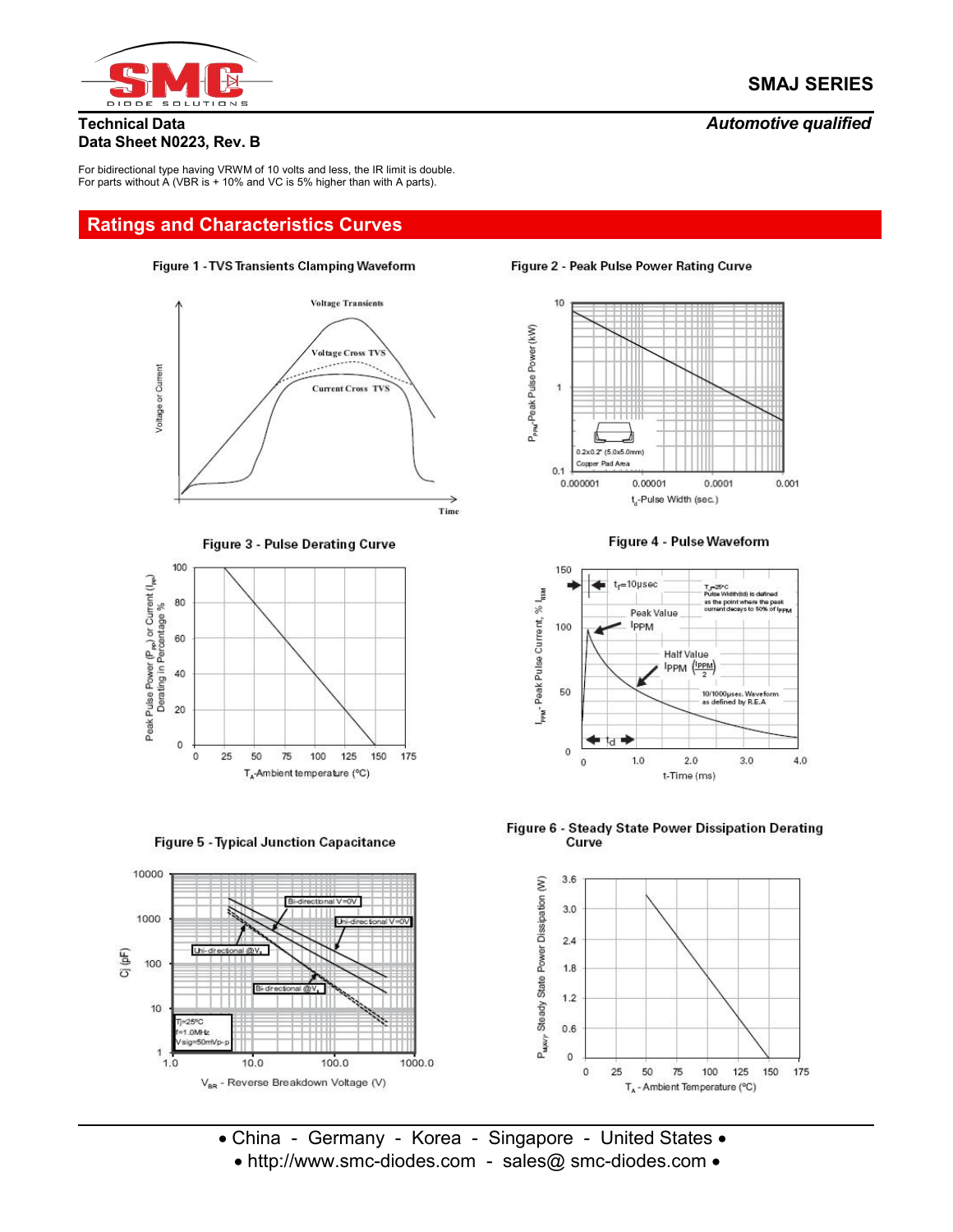

### **Technical Data** *Automotive qualified*

# **Data Sheet N0223, Rev. B**

For bidirectional type having VRWM of 10 volts and less, the IR limit is double. For parts without A (VBR is + 10% and VC is 5% higher than with A parts).

# **Ratings and Characteristics Curves**









**Figure 5 - Typical Junction Capacitance** 



Figure 2 - Peak Pulse Power Rating Curve



Figure 4 - Pulse Waveform



Figure 6 - Steady State Power Dissipation Derating Curve



• China - Germany - Korea - Singapore - United States • • http://www.smc-diodes.com - sales@ smc-diodes.com •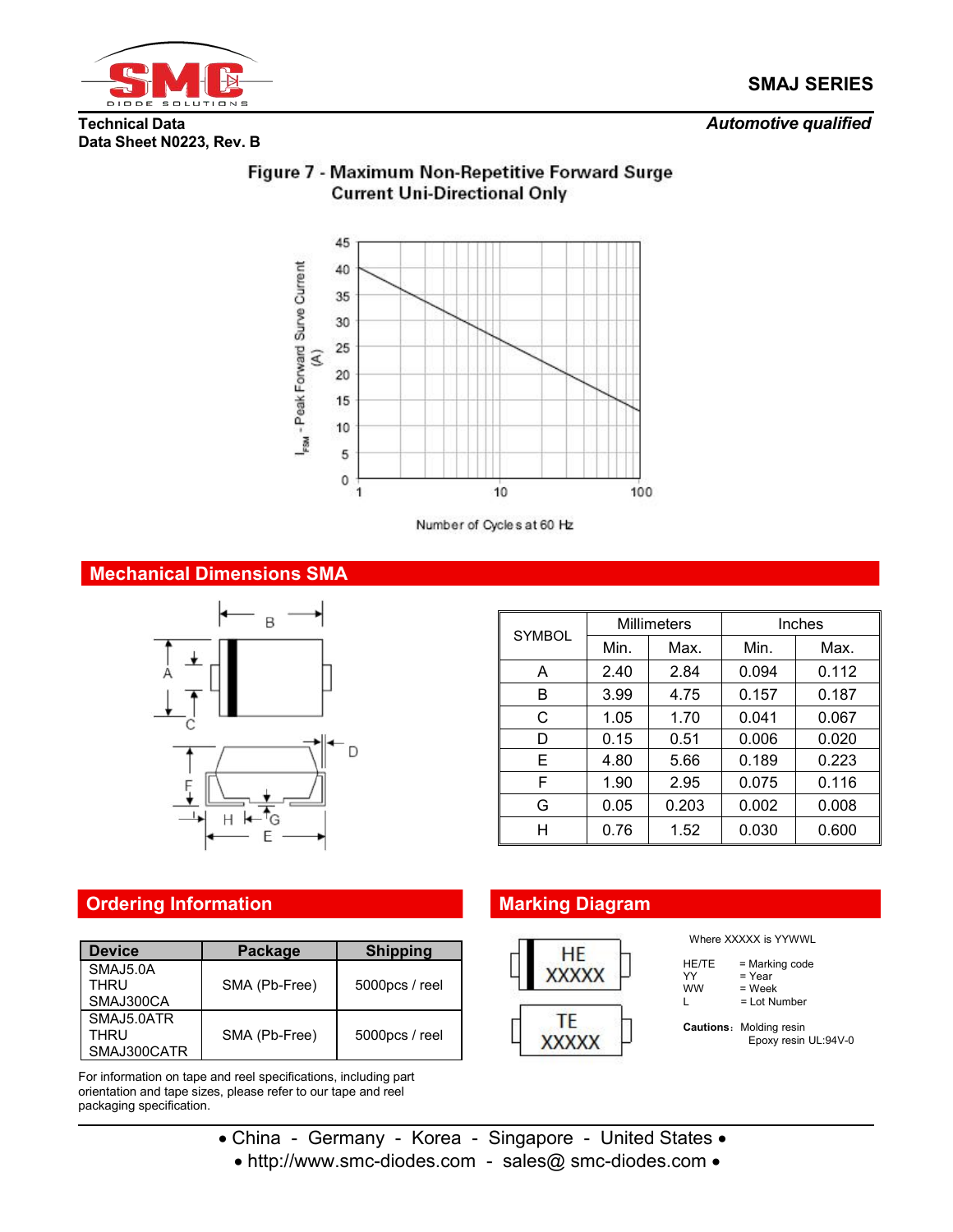

### **Technical Data** *Automotive qualified*

# **Data Sheet N0223, Rev. B**



# Figure 7 - Maximum Non-Repetitive Forward Surge **Current Uni-Directional Only**

Number of Cycles at 60 Hz

## **Mechanical Dimensions SMA**



|               |      | <b>Millimeters</b> | <b>Inches</b> |       |  |
|---------------|------|--------------------|---------------|-------|--|
| <b>SYMBOL</b> | Min. | Max.               | Min.          | Max.  |  |
| A             | 2.40 | 2.84               | 0.094         | 0.112 |  |
| B             | 3.99 | 4.75               | 0.157         | 0.187 |  |
| С             | 1.05 | 1.70               | 0.041         | 0.067 |  |
| D             | 0.15 | 0.51               | 0.006         | 0.020 |  |
| Е             | 4.80 | 5.66               | 0.189         | 0.223 |  |
| F             | 1.90 | 2.95               | 0.075         | 0.116 |  |
| G             | 0.05 | 0.203              | 0.002         | 0.008 |  |
| н             | 0.76 | 1.52               | 0.030         | 0.600 |  |

# **Ordering Information Marking Diagram**

| <b>Device</b> | Package       | <b>Shipping</b> | HE           |
|---------------|---------------|-----------------|--------------|
| SMAJ5.0A      |               |                 | <b>XXXXX</b> |
| THRU          | SMA (Pb-Free) | 5000pcs / reel  |              |
| SMAJ300CA     |               |                 |              |
| SMAJ5.0ATR    |               |                 |              |
| THRU          | SMA (Pb-Free) | 5000pcs / reel  | XXXXX        |
| SMAJ300CATR   |               |                 |              |

For information on tape and reel specifications, including part orientation and tape sizes, please refer to our tape and reel packaging specification.



Where XXXXX is YYWWL

| HE/TE | = Marking code |  |
|-------|----------------|--|
| YY    | = Year         |  |
| ww    | = Week         |  |

L = Lot Number

**Cautions:** Molding resin Epoxy resin UL:94V-0

- China Germany Korea Singapore United States
	- http://www.smc-diodes.com sales@ smc-diodes.com •